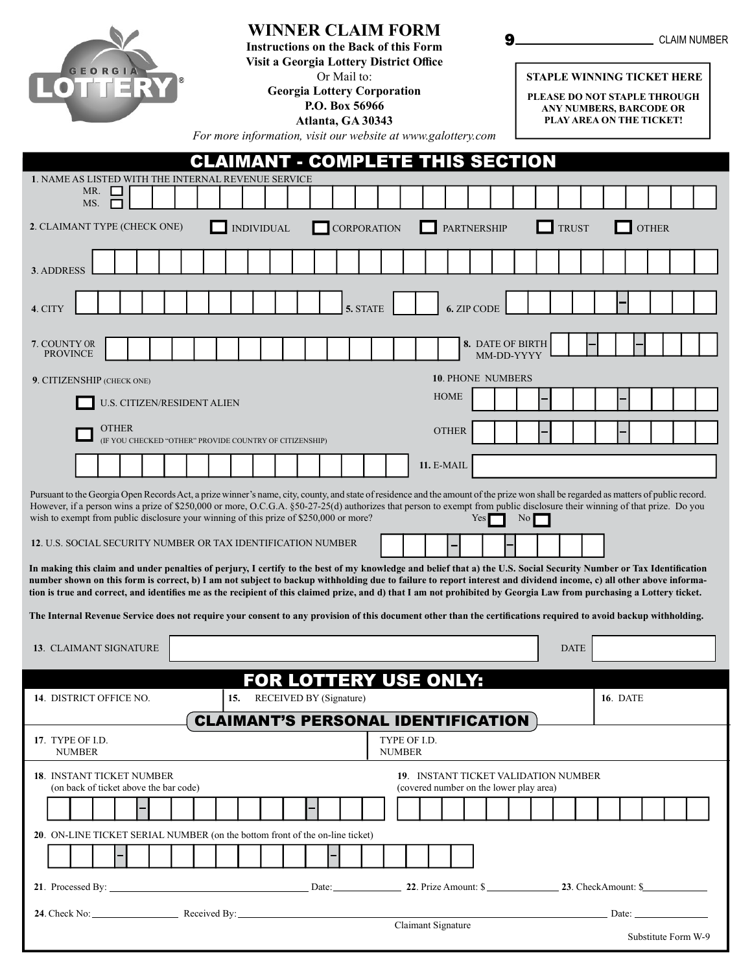| <b>GEORG</b>                                                                                                                                                                                                                                                                                                                                                                                                                                                                                                      | <b>WINNER CLAIM FORM</b><br><b>Instructions on the Back of this Form</b><br>Visit a Georgia Lottery District Office<br>Or Mail to:<br><b>Georgia Lottery Corporation</b><br>P.O. Box 56966<br>Atlanta, GA 30343<br>For more information, visit our website at www.galottery.com |                                                                                 |              | <b>CLAIM NUMBER</b><br><b>STAPLE WINNING TICKET HERE</b><br>PLEASE DO NOT STAPLE THROUGH<br><b>ANY NUMBERS, BARCODE OR</b><br>PLAY AREA ON THE TICKET! |  |
|-------------------------------------------------------------------------------------------------------------------------------------------------------------------------------------------------------------------------------------------------------------------------------------------------------------------------------------------------------------------------------------------------------------------------------------------------------------------------------------------------------------------|---------------------------------------------------------------------------------------------------------------------------------------------------------------------------------------------------------------------------------------------------------------------------------|---------------------------------------------------------------------------------|--------------|--------------------------------------------------------------------------------------------------------------------------------------------------------|--|
|                                                                                                                                                                                                                                                                                                                                                                                                                                                                                                                   | <b>CLAIMANT - COMPLETE THIS SECTION</b>                                                                                                                                                                                                                                         |                                                                                 |              |                                                                                                                                                        |  |
| 1. NAME AS LISTED WITH THE INTERNAL REVENUE SERVICE<br>MR.<br>MS.                                                                                                                                                                                                                                                                                                                                                                                                                                                 |                                                                                                                                                                                                                                                                                 |                                                                                 |              |                                                                                                                                                        |  |
| 2. CLAIMANT TYPE (CHECK ONE)                                                                                                                                                                                                                                                                                                                                                                                                                                                                                      | <b>INDIVIDUAL</b><br><b>CORPORATION</b>                                                                                                                                                                                                                                         | <b>PARTNERSHIP</b>                                                              | <b>TRUST</b> | <b>OTHER</b>                                                                                                                                           |  |
| 3. ADDRESS                                                                                                                                                                                                                                                                                                                                                                                                                                                                                                        |                                                                                                                                                                                                                                                                                 |                                                                                 |              |                                                                                                                                                        |  |
| 4. CITY                                                                                                                                                                                                                                                                                                                                                                                                                                                                                                           | 5. STATE                                                                                                                                                                                                                                                                        | 6. ZIP CODE                                                                     |              |                                                                                                                                                        |  |
| 7. COUNTY OR<br><b>PROVINCE</b>                                                                                                                                                                                                                                                                                                                                                                                                                                                                                   |                                                                                                                                                                                                                                                                                 | 8. DATE OF BIRTH<br>MM-DD-YYYY                                                  |              |                                                                                                                                                        |  |
| 9. CITIZENSHIP (CHECK ONE)                                                                                                                                                                                                                                                                                                                                                                                                                                                                                        |                                                                                                                                                                                                                                                                                 | <b>10. PHONE NUMBERS</b>                                                        |              |                                                                                                                                                        |  |
| U.S. CITIZEN/RESIDENT ALIEN                                                                                                                                                                                                                                                                                                                                                                                                                                                                                       |                                                                                                                                                                                                                                                                                 | <b>HOME</b>                                                                     |              |                                                                                                                                                        |  |
| <b>OTHER</b><br>(IF YOU CHECKED "OTHER" PROVIDE COUNTRY OF CITIZENSHIP)                                                                                                                                                                                                                                                                                                                                                                                                                                           |                                                                                                                                                                                                                                                                                 | <b>OTHER</b>                                                                    |              |                                                                                                                                                        |  |
|                                                                                                                                                                                                                                                                                                                                                                                                                                                                                                                   |                                                                                                                                                                                                                                                                                 | 11. E-MAIL                                                                      |              |                                                                                                                                                        |  |
| Pursuant to the Georgia Open Records Act, a prize winner's name, city, county, and state of residence and the amount of the prize won shall be regarded as matters of public record.<br>However, if a person wins a prize of \$250,000 or more, O.C.G.A. §50-27-25(d) authorizes that person to exempt from public disclosure their winning of that prize. Do you<br>wish to exempt from public disclosure your winning of this prize of \$250,000 or more?<br>No                                                 |                                                                                                                                                                                                                                                                                 |                                                                                 |              |                                                                                                                                                        |  |
| 12. U.S. SOCIAL SECURITY NUMBER OR TAX IDENTIFICATION NUMBER                                                                                                                                                                                                                                                                                                                                                                                                                                                      |                                                                                                                                                                                                                                                                                 |                                                                                 |              |                                                                                                                                                        |  |
| In making this claim and under penalties of perjury, I certify to the best of my knowledge and belief that a) the U.S. Social Security Number or Tax Identification<br>number shown on this form is correct, b) I am not subject to backup withholding due to failure to report interest and dividend income, c) all other above informa-<br>tion is true and correct, and identifies me as the recipient of this claimed prize, and d) that I am not prohibited by Georgia Law from purchasing a Lottery ticket. |                                                                                                                                                                                                                                                                                 |                                                                                 |              |                                                                                                                                                        |  |
| The Internal Revenue Service does not require your consent to any provision of this document other than the certifications required to avoid backup withholding.                                                                                                                                                                                                                                                                                                                                                  |                                                                                                                                                                                                                                                                                 |                                                                                 |              |                                                                                                                                                        |  |
| 13. CLAIMANT SIGNATURE                                                                                                                                                                                                                                                                                                                                                                                                                                                                                            |                                                                                                                                                                                                                                                                                 |                                                                                 | <b>DATE</b>  |                                                                                                                                                        |  |
|                                                                                                                                                                                                                                                                                                                                                                                                                                                                                                                   | FOR LOTTERY USE ONLY:                                                                                                                                                                                                                                                           |                                                                                 |              |                                                                                                                                                        |  |
| 14. DISTRICT OFFICE NO.<br>15.                                                                                                                                                                                                                                                                                                                                                                                                                                                                                    | <b>RECEIVED BY (Signature)</b>                                                                                                                                                                                                                                                  |                                                                                 |              | <b>16. DATE</b>                                                                                                                                        |  |
|                                                                                                                                                                                                                                                                                                                                                                                                                                                                                                                   | <b>CLAIMANT'S PERSONAL IDENTIFICATION</b>                                                                                                                                                                                                                                       |                                                                                 |              |                                                                                                                                                        |  |
| 17. TYPE OF I.D.<br><b>NUMBER</b>                                                                                                                                                                                                                                                                                                                                                                                                                                                                                 |                                                                                                                                                                                                                                                                                 | TYPE OF I.D.<br><b>NUMBER</b>                                                   |              |                                                                                                                                                        |  |
| <b>18. INSTANT TICKET NUMBER</b><br>(on back of ticket above the bar code)                                                                                                                                                                                                                                                                                                                                                                                                                                        |                                                                                                                                                                                                                                                                                 | 19. INSTANT TICKET VALIDATION NUMBER<br>(covered number on the lower play area) |              |                                                                                                                                                        |  |
|                                                                                                                                                                                                                                                                                                                                                                                                                                                                                                                   |                                                                                                                                                                                                                                                                                 |                                                                                 |              |                                                                                                                                                        |  |
| 20. ON-LINE TICKET SERIAL NUMBER (on the bottom front of the on-line ticket)                                                                                                                                                                                                                                                                                                                                                                                                                                      |                                                                                                                                                                                                                                                                                 |                                                                                 |              |                                                                                                                                                        |  |
|                                                                                                                                                                                                                                                                                                                                                                                                                                                                                                                   |                                                                                                                                                                                                                                                                                 |                                                                                 |              |                                                                                                                                                        |  |
| 21. Processed By: 22. Prize Amount: \$2. Prize Amount: \$2. Prize Amount: \$2. Processed By:                                                                                                                                                                                                                                                                                                                                                                                                                      |                                                                                                                                                                                                                                                                                 |                                                                                 |              |                                                                                                                                                        |  |
| 24. Check No: Date: Deceived By: Received By: 24. Check No: Date:                                                                                                                                                                                                                                                                                                                                                                                                                                                 |                                                                                                                                                                                                                                                                                 | Claimant Signature                                                              |              | Substitute Form W-9                                                                                                                                    |  |